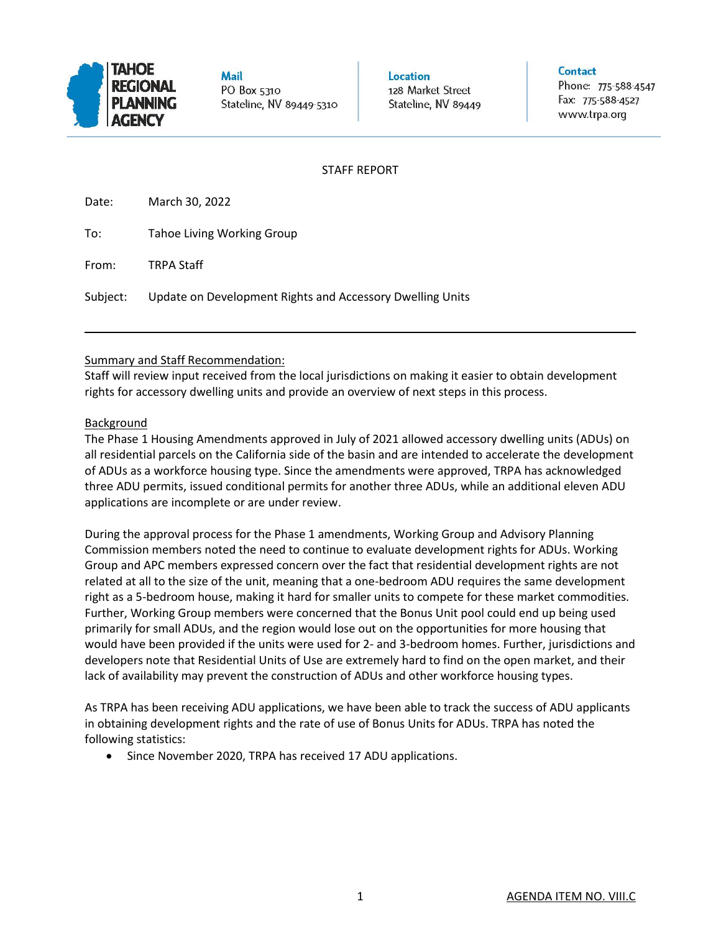

**Mail** PO Box 5310 Stateline, NV 89449-5310 Location 128 Market Street Stateline, NV 89449

#### Contact

Phone: 775-588-4547 Fax: 775-588-4527 www.trpa.org

### STAFF REPORT

Date: March 30, 2022

| To: | Tahoe Living Working Group |
|-----|----------------------------|
|     |                            |

From: TRPA Staff

Subject: Update on Development Rights and Accessory Dwelling Units

# Summary and Staff Recommendation:

Staff will review input received from the local jurisdictions on making it easier to obtain development rights for accessory dwelling units and provide an overview of next steps in this process.

## Background

The Phase 1 Housing Amendments approved in July of 2021 allowed accessory dwelling units (ADUs) on all residential parcels on the California side of the basin and are intended to accelerate the development of ADUs as a workforce housing type. Since the amendments were approved, TRPA has acknowledged three ADU permits, issued conditional permits for another three ADUs, while an additional eleven ADU applications are incomplete or are under review.

During the approval process for the Phase 1 amendments, Working Group and Advisory Planning Commission members noted the need to continue to evaluate development rights for ADUs. Working Group and APC members expressed concern over the fact that residential development rights are not related at all to the size of the unit, meaning that a one-bedroom ADU requires the same development right as a 5-bedroom house, making it hard for smaller units to compete for these market commodities. Further, Working Group members were concerned that the Bonus Unit pool could end up being used primarily for small ADUs, and the region would lose out on the opportunities for more housing that would have been provided if the units were used for 2- and 3-bedroom homes. Further, jurisdictions and developers note that Residential Units of Use are extremely hard to find on the open market, and their lack of availability may prevent the construction of ADUs and other workforce housing types.

As TRPA has been receiving ADU applications, we have been able to track the success of ADU applicants in obtaining development rights and the rate of use of Bonus Units for ADUs. TRPA has noted the following statistics:

• Since November 2020, TRPA has received 17 ADU applications.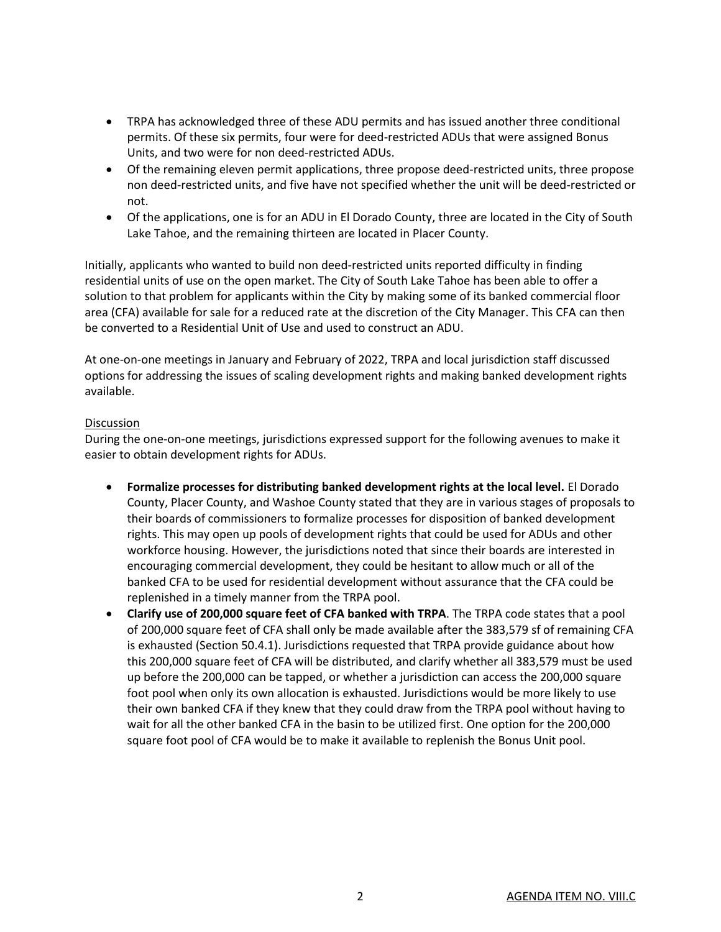- TRPA has acknowledged three of these ADU permits and has issued another three conditional permits. Of these six permits, four were for deed-restricted ADUs that were assigned Bonus Units, and two were for non deed-restricted ADUs.
- Of the remaining eleven permit applications, three propose deed-restricted units, three propose non deed-restricted units, and five have not specified whether the unit will be deed-restricted or not.
- Of the applications, one is for an ADU in El Dorado County, three are located in the City of South Lake Tahoe, and the remaining thirteen are located in Placer County.

Initially, applicants who wanted to build non deed-restricted units reported difficulty in finding residential units of use on the open market. The City of South Lake Tahoe has been able to offer a solution to that problem for applicants within the City by making some of its banked commercial floor area (CFA) available for sale for a reduced rate at the discretion of the City Manager. This CFA can then be converted to a Residential Unit of Use and used to construct an ADU.

At one-on-one meetings in January and February of 2022, TRPA and local jurisdiction staff discussed options for addressing the issues of scaling development rights and making banked development rights available.

### Discussion

During the one-on-one meetings, jurisdictions expressed support for the following avenues to make it easier to obtain development rights for ADUs.

- **Formalize processes for distributing banked development rights at the local level.** El Dorado County, Placer County, and Washoe County stated that they are in various stages of proposals to their boards of commissioners to formalize processes for disposition of banked development rights. This may open up pools of development rights that could be used for ADUs and other workforce housing. However, the jurisdictions noted that since their boards are interested in encouraging commercial development, they could be hesitant to allow much or all of the banked CFA to be used for residential development without assurance that the CFA could be replenished in a timely manner from the TRPA pool.
- **Clarify use of 200,000 square feet of CFA banked with TRPA**. The TRPA code states that a pool of 200,000 square feet of CFA shall only be made available after the 383,579 sf of remaining CFA is exhausted (Section 50.4.1). Jurisdictions requested that TRPA provide guidance about how this 200,000 square feet of CFA will be distributed, and clarify whether all 383,579 must be used up before the 200,000 can be tapped, or whether a jurisdiction can access the 200,000 square foot pool when only its own allocation is exhausted. Jurisdictions would be more likely to use their own banked CFA if they knew that they could draw from the TRPA pool without having to wait for all the other banked CFA in the basin to be utilized first. One option for the 200,000 square foot pool of CFA would be to make it available to replenish the Bonus Unit pool.